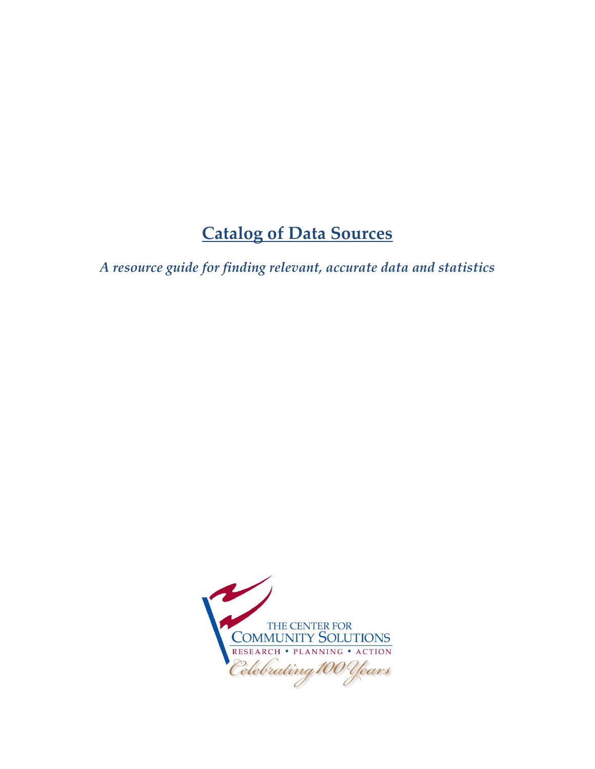# **Catalog of Data Sources**

*A resource guide for finding relevant, accurate data and statistics*

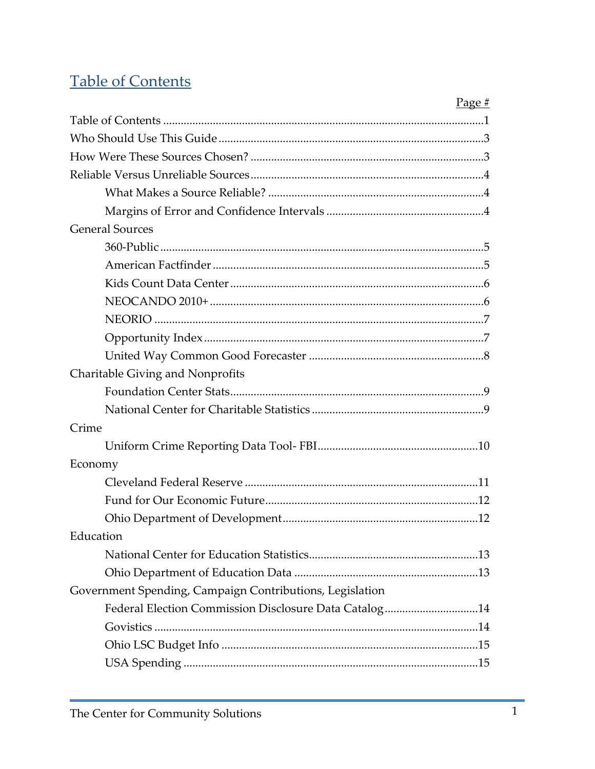# **Table of Contents**

|                                                          | Page $#$ |
|----------------------------------------------------------|----------|
|                                                          |          |
|                                                          |          |
|                                                          |          |
|                                                          |          |
|                                                          |          |
|                                                          |          |
| <b>General Sources</b>                                   |          |
|                                                          |          |
|                                                          |          |
|                                                          |          |
|                                                          |          |
|                                                          |          |
|                                                          |          |
|                                                          |          |
| Charitable Giving and Nonprofits                         |          |
|                                                          |          |
|                                                          |          |
| Crime                                                    |          |
|                                                          |          |
| Economy                                                  |          |
|                                                          |          |
|                                                          |          |
|                                                          |          |
| Education                                                |          |
|                                                          |          |
|                                                          |          |
| Government Spending, Campaign Contributions, Legislation |          |
| Federal Election Commission Disclosure Data Catalog14    |          |
|                                                          |          |
|                                                          |          |
|                                                          |          |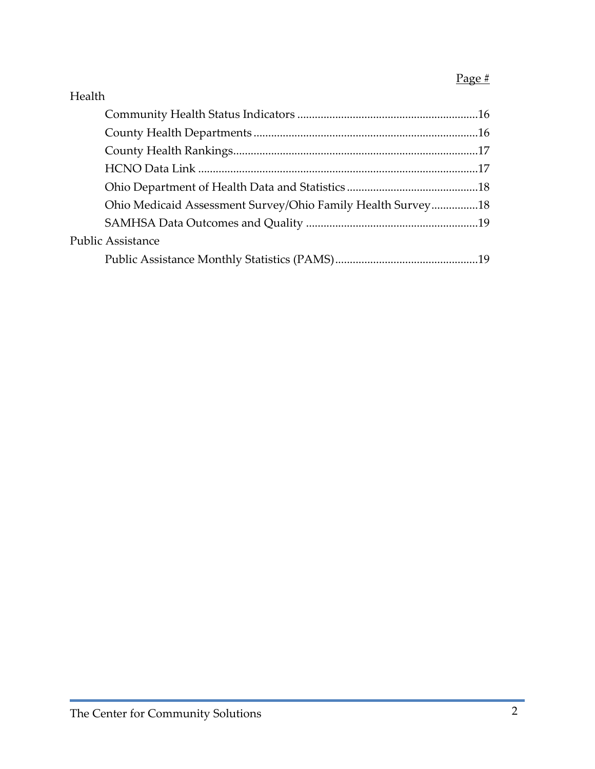### Page #

| Health                                                      |  |
|-------------------------------------------------------------|--|
|                                                             |  |
|                                                             |  |
|                                                             |  |
|                                                             |  |
|                                                             |  |
| Ohio Medicaid Assessment Survey/Ohio Family Health Survey18 |  |
|                                                             |  |
| <b>Public Assistance</b>                                    |  |
|                                                             |  |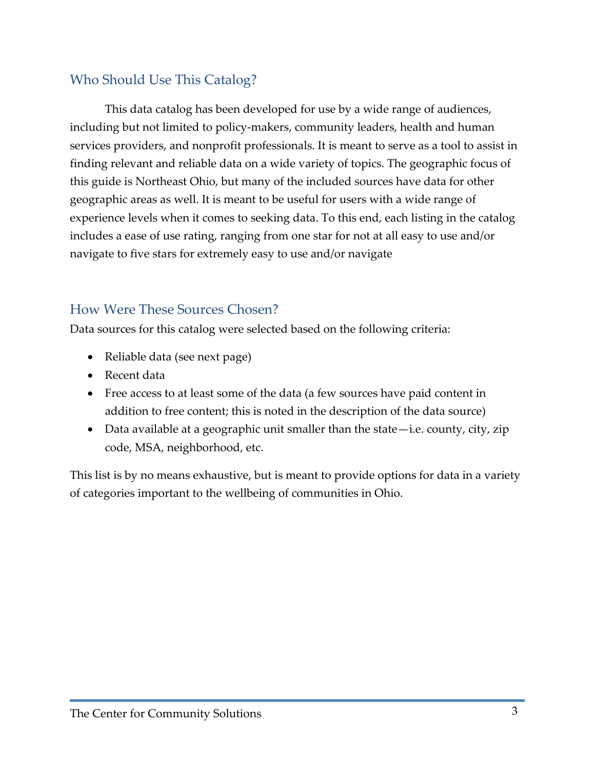### Who Should Use This Catalog?

This data catalog has been developed for use by a wide range of audiences, including but not limited to policy-makers, community leaders, health and human services providers, and nonprofit professionals. It is meant to serve as a tool to assist in finding relevant and reliable data on a wide variety of topics. The geographic focus of this guide is Northeast Ohio, but many of the included sources have data for other geographic areas as well. It is meant to be useful for users with a wide range of experience levels when it comes to seeking data. To this end, each listing in the catalog includes a ease of use rating, ranging from one star for not at all easy to use and/or navigate to five stars for extremely easy to use and/or navigate

### How Were These Sources Chosen?

Data sources for this catalog were selected based on the following criteria:

- Reliable data (see next page)
- Recent data
- Free access to at least some of the data (a few sources have paid content in addition to free content; this is noted in the description of the data source)
- Data available at a geographic unit smaller than the state—i.e. county, city, zip code, MSA, neighborhood, etc.

This list is by no means exhaustive, but is meant to provide options for data in a variety of categories important to the wellbeing of communities in Ohio.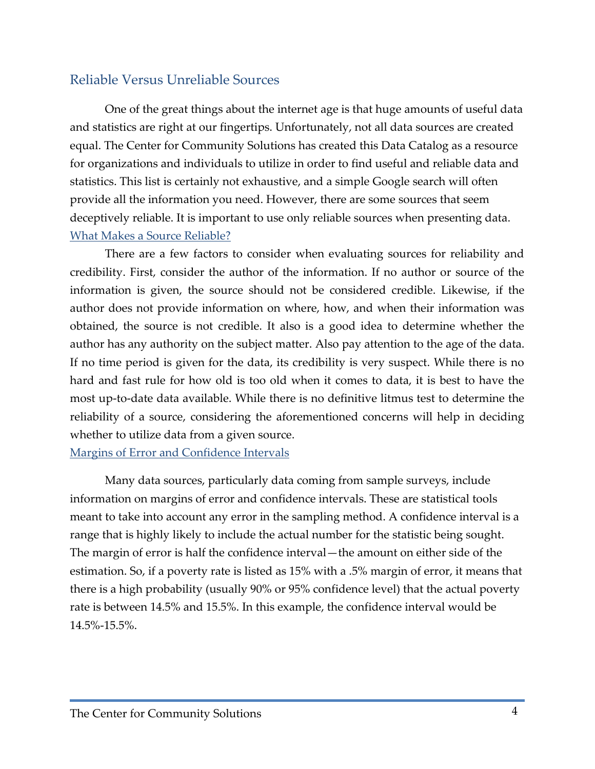### Reliable Versus Unreliable Sources

One of the great things about the internet age is that huge amounts of useful data and statistics are right at our fingertips. Unfortunately, not all data sources are created equal. The Center for Community Solutions has created this Data Catalog as a resource for organizations and individuals to utilize in order to find useful and reliable data and statistics. This list is certainly not exhaustive, and a simple Google search will often provide all the information you need. However, there are some sources that seem deceptively reliable. It is important to use only reliable sources when presenting data. What Makes a Source Reliable?

There are a few factors to consider when evaluating sources for reliability and credibility. First, consider the author of the information. If no author or source of the information is given, the source should not be considered credible. Likewise, if the author does not provide information on where, how, and when their information was obtained, the source is not credible. It also is a good idea to determine whether the author has any authority on the subject matter. Also pay attention to the age of the data. If no time period is given for the data, its credibility is very suspect. While there is no hard and fast rule for how old is too old when it comes to data, it is best to have the most up-to-date data available. While there is no definitive litmus test to determine the reliability of a source, considering the aforementioned concerns will help in deciding whether to utilize data from a given source.

#### Margins of Error and Confidence Intervals

Many data sources, particularly data coming from sample surveys, include information on margins of error and confidence intervals. These are statistical tools meant to take into account any error in the sampling method. A confidence interval is a range that is highly likely to include the actual number for the statistic being sought. The margin of error is half the confidence interval—the amount on either side of the estimation. So, if a poverty rate is listed as 15% with a .5% margin of error, it means that there is a high probability (usually 90% or 95% confidence level) that the actual poverty rate is between 14.5% and 15.5%. In this example, the confidence interval would be 14.5%-15.5%.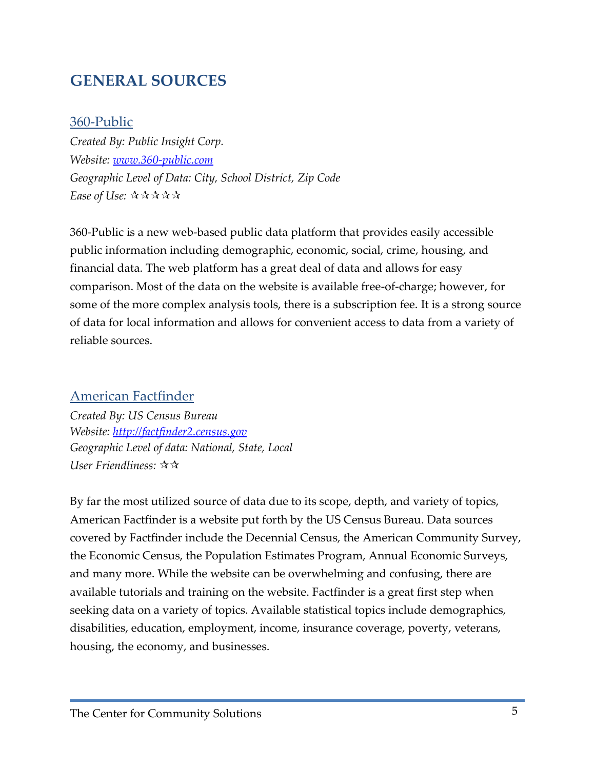### **GENERAL SOURCES**

#### 360-Public

*Created By: Public Insight Corp. Website: [www.360-public.com](http://www.360-public.com/) Geographic Level of Data: City, School District, Zip Code Ease of Use:*

360-Public is a new web-based public data platform that provides easily accessible public information including demographic, economic, social, crime, housing, and financial data. The web platform has a great deal of data and allows for easy comparison. Most of the data on the website is available free-of-charge; however, for some of the more complex analysis tools, there is a subscription fee. It is a strong source of data for local information and allows for convenient access to data from a variety of reliable sources.

### American Factfinder

*Created By: US Census Bureau Website: [http://factfinder2.census.gov](http://factfinder2.census.gov/) Geographic Level of data: National, State, Local User Friendliness:*

By far the most utilized source of data due to its scope, depth, and variety of topics, American Factfinder is a website put forth by the US Census Bureau. Data sources covered by Factfinder include the Decennial Census, the American Community Survey, the Economic Census, the Population Estimates Program, Annual Economic Surveys, and many more. While the website can be overwhelming and confusing, there are available tutorials and training on the website. Factfinder is a great first step when seeking data on a variety of topics. Available statistical topics include demographics, disabilities, education, employment, income, insurance coverage, poverty, veterans, housing, the economy, and businesses.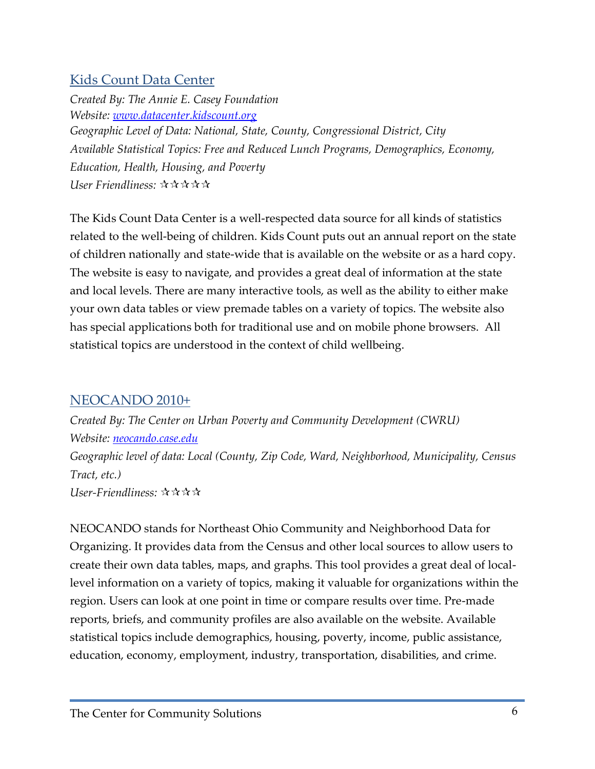### Kids Count Data Center

*Created By: The Annie E. Casey Foundation Website: [www.datacenter.kidscount.org](http://www.datacenter.kidscount.org/) Geographic Level of Data: National, State, County, Congressional District, City Available Statistical Topics: Free and Reduced Lunch Programs, Demographics, Economy, Education, Health, Housing, and Poverty User Friendliness:* 

The Kids Count Data Center is a well-respected data source for all kinds of statistics related to the well-being of children. Kids Count puts out an annual report on the state of children nationally and state-wide that is available on the website or as a hard copy. The website is easy to navigate, and provides a great deal of information at the state and local levels. There are many interactive tools, as well as the ability to either make your own data tables or view premade tables on a variety of topics. The website also has special applications both for traditional use and on mobile phone browsers. All statistical topics are understood in the context of child wellbeing.

### NEOCANDO 2010+

*Created By: The Center on Urban Poverty and Community Development (CWRU) Website: [neocando.case.edu](http://neocando.case.edu/index/shtml) Geographic level of data: Local (County, Zip Code, Ward, Neighborhood, Municipality, Census Tract, etc.) User-Friendliness:* 

NEOCANDO stands for Northeast Ohio Community and Neighborhood Data for Organizing. It provides data from the Census and other local sources to allow users to create their own data tables, maps, and graphs. This tool provides a great deal of locallevel information on a variety of topics, making it valuable for organizations within the region. Users can look at one point in time or compare results over time. Pre-made reports, briefs, and community profiles are also available on the website. Available statistical topics include demographics, housing, poverty, income, public assistance, education, economy, employment, industry, transportation, disabilities, and crime.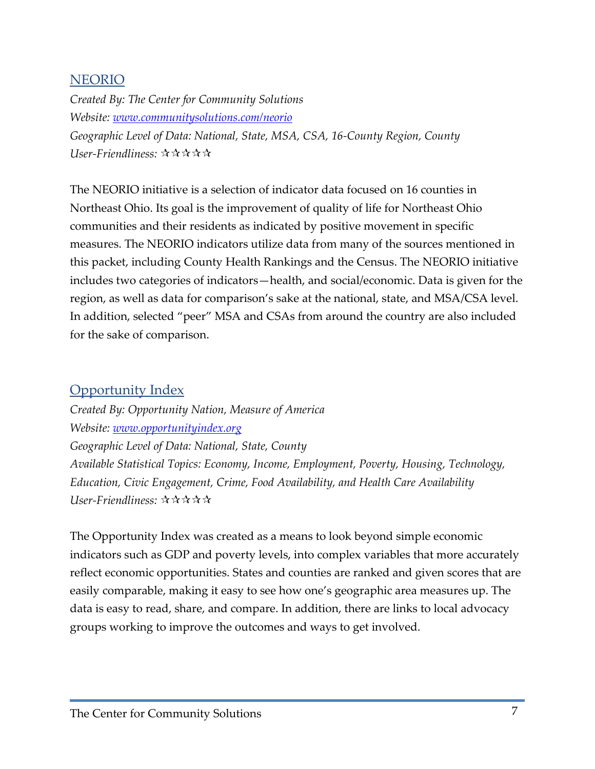#### NEORIO

*Created By: The Center for Community Solutions Website: [www.communitysolutions.com/neorio](http://www.communitysolutions.com/neorio) Geographic Level of Data: National, State, MSA, CSA, 16-County Region, County User-Friendliness:* 

The NEORIO initiative is a selection of indicator data focused on 16 counties in Northeast Ohio. Its goal is the improvement of quality of life for Northeast Ohio communities and their residents as indicated by positive movement in specific measures. The NEORIO indicators utilize data from many of the sources mentioned in this packet, including County Health Rankings and the Census. The NEORIO initiative includes two categories of indicators—health, and social/economic. Data is given for the region, as well as data for comparison's sake at the national, state, and MSA/CSA level. In addition, selected "peer" MSA and CSAs from around the country are also included for the sake of comparison.

#### Opportunity Index

*Created By: Opportunity Nation, Measure of America Website: [www.opportunityindex.org](http://www.opportunityindex.org/) Geographic Level of Data: National, State, County Available Statistical Topics: Economy, Income, Employment, Poverty, Housing, Technology, Education, Civic Engagement, Crime, Food Availability, and Health Care Availability User-Friendliness:* 

The Opportunity Index was created as a means to look beyond simple economic indicators such as GDP and poverty levels, into complex variables that more accurately reflect economic opportunities. States and counties are ranked and given scores that are easily comparable, making it easy to see how one's geographic area measures up. The data is easy to read, share, and compare. In addition, there are links to local advocacy groups working to improve the outcomes and ways to get involved.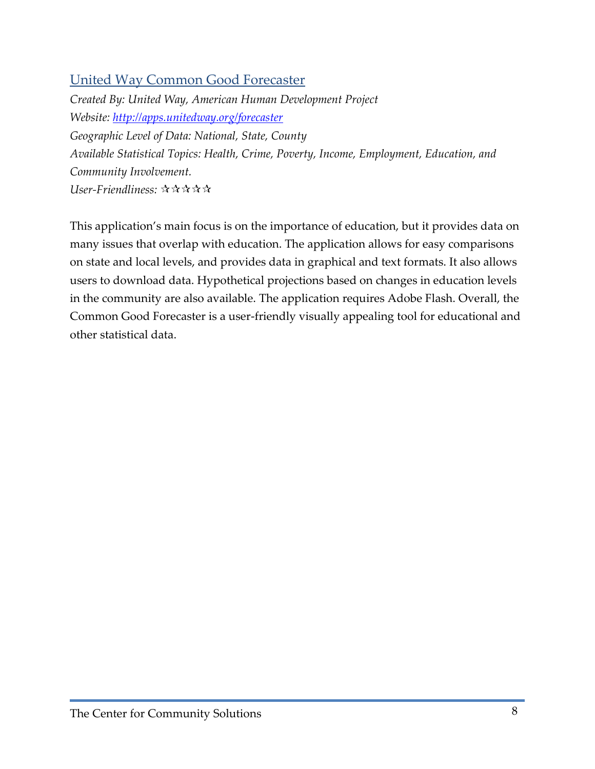### United Way Common Good Forecaster

*Created By: United Way, American Human Development Project Website:<http://apps.unitedway.org/forecaster> Geographic Level of Data: National, State, County Available Statistical Topics: Health, Crime, Poverty, Income, Employment, Education, and Community Involvement. User-Friendliness:* 

This application's main focus is on the importance of education, but it provides data on many issues that overlap with education. The application allows for easy comparisons on state and local levels, and provides data in graphical and text formats. It also allows users to download data. Hypothetical projections based on changes in education levels in the community are also available. The application requires Adobe Flash. Overall, the Common Good Forecaster is a user-friendly visually appealing tool for educational and other statistical data.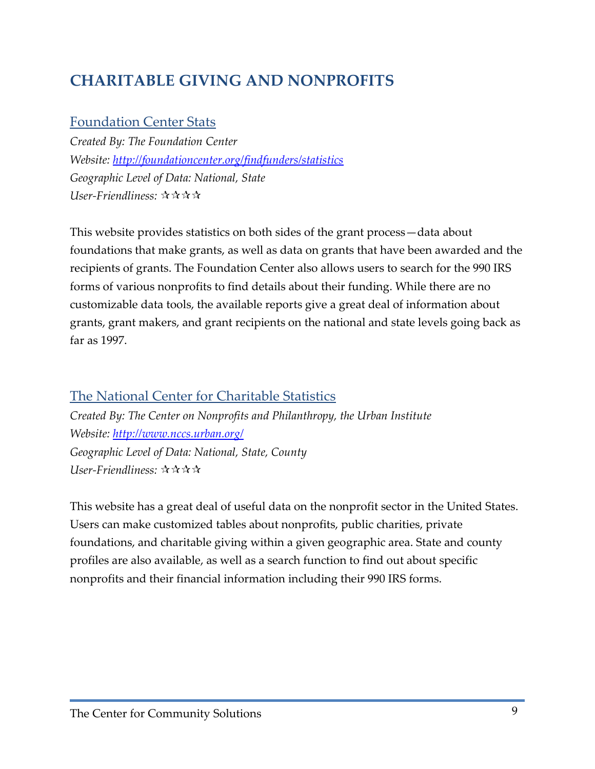## **CHARITABLE GIVING AND NONPROFITS**

### Foundation Center Stats

*Created By: The Foundation Center Website:<http://foundationcenter.org/findfunders/statistics> Geographic Level of Data: National, State User-Friendliness:*

This website provides statistics on both sides of the grant process—data about foundations that make grants, as well as data on grants that have been awarded and the recipients of grants. The Foundation Center also allows users to search for the 990 IRS forms of various nonprofits to find details about their funding. While there are no customizable data tools, the available reports give a great deal of information about grants, grant makers, and grant recipients on the national and state levels going back as far as 1997.

### The National Center for Charitable Statistics

*Created By: The Center on Nonprofits and Philanthropy, the Urban Institute Website:<http://www.nccs.urban.org/> Geographic Level of Data: National, State, County User-Friendliness:* 

This website has a great deal of useful data on the nonprofit sector in the United States. Users can make customized tables about nonprofits, public charities, private foundations, and charitable giving within a given geographic area. State and county profiles are also available, as well as a search function to find out about specific nonprofits and their financial information including their 990 IRS forms.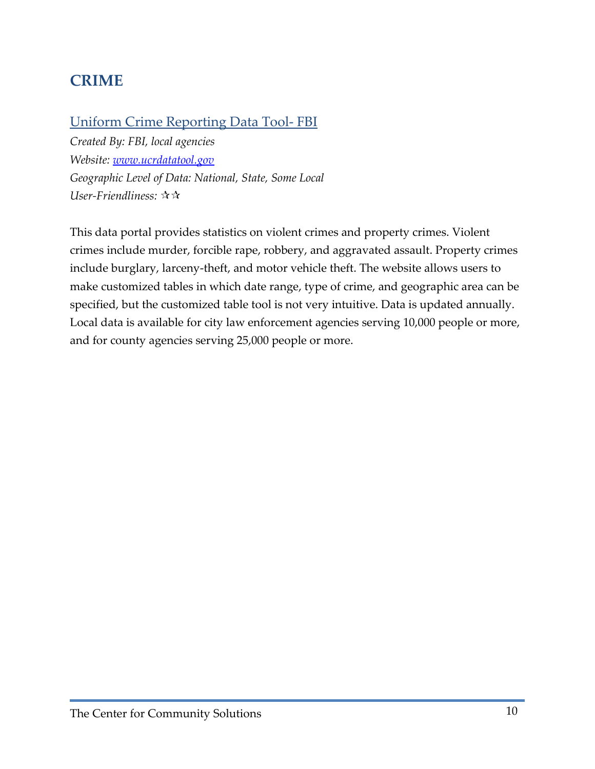## **CRIME**

### Uniform Crime Reporting Data Tool- FBI

*Created By: FBI, local agencies Website: [www.ucrdatatool.gov](http://www.ucrdatatool.gov/) Geographic Level of Data: National, State, Some Local User-Friendliness:*

This data portal provides statistics on violent crimes and property crimes. Violent crimes include murder, forcible rape, robbery, and aggravated assault. Property crimes include burglary, larceny-theft, and motor vehicle theft. The website allows users to make customized tables in which date range, type of crime, and geographic area can be specified, but the customized table tool is not very intuitive. Data is updated annually. Local data is available for city law enforcement agencies serving 10,000 people or more, and for county agencies serving 25,000 people or more.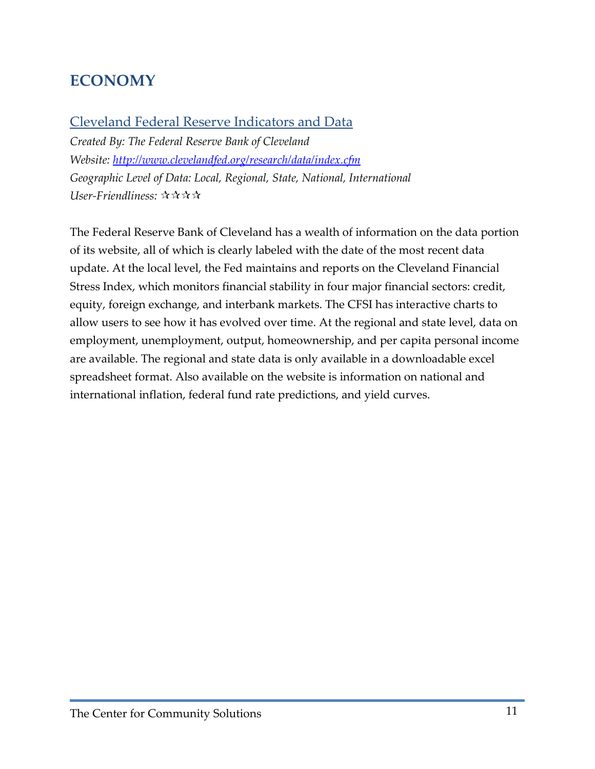## **ECONOMY**

### Cleveland Federal Reserve Indicators and Data

*Created By: The Federal Reserve Bank of Cleveland Website:<http://www.clevelandfed.org/research/data/index.cfm> Geographic Level of Data: Local, Regional, State, National, International User-Friendliness:*

The Federal Reserve Bank of Cleveland has a wealth of information on the data portion of its website, all of which is clearly labeled with the date of the most recent data update. At the local level, the Fed maintains and reports on the Cleveland Financial Stress Index, which monitors financial stability in four major financial sectors: credit, equity, foreign exchange, and interbank markets. The CFSI has interactive charts to allow users to see how it has evolved over time. At the regional and state level, data on employment, unemployment, output, homeownership, and per capita personal income are available. The regional and state data is only available in a downloadable excel spreadsheet format. Also available on the website is information on national and international inflation, federal fund rate predictions, and yield curves.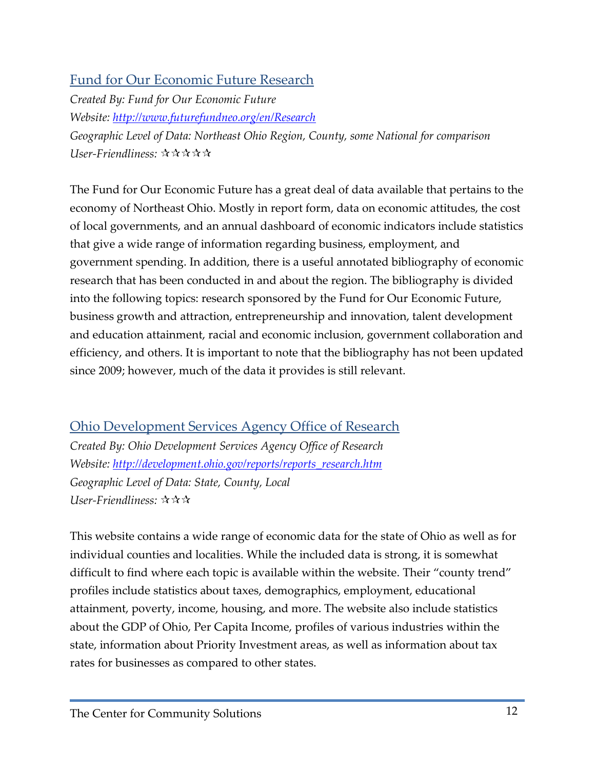### Fund for Our Economic Future Research

*Created By: Fund for Our Economic Future Website:<http://www.futurefundneo.org/en/Research> Geographic Level of Data: Northeast Ohio Region, County, some National for comparison User-Friendliness:*

The Fund for Our Economic Future has a great deal of data available that pertains to the economy of Northeast Ohio. Mostly in report form, data on economic attitudes, the cost of local governments, and an annual dashboard of economic indicators include statistics that give a wide range of information regarding business, employment, and government spending. In addition, there is a useful annotated bibliography of economic research that has been conducted in and about the region. The bibliography is divided into the following topics: research sponsored by the Fund for Our Economic Future, business growth and attraction, entrepreneurship and innovation, talent development and education attainment, racial and economic inclusion, government collaboration and efficiency, and others. It is important to note that the bibliography has not been updated since 2009; however, much of the data it provides is still relevant.

### Ohio Development Services Agency Office of Research

*Created By: Ohio Development Services Agency Office of Research Website: [http://development.ohio.gov/reports/reports\\_research.htm](http://development.ohio.gov/reports/reports_research.htm) Geographic Level of Data: State, County, Local User-Friendliness:*

This website contains a wide range of economic data for the state of Ohio as well as for individual counties and localities. While the included data is strong, it is somewhat difficult to find where each topic is available within the website. Their "county trend" profiles include statistics about taxes, demographics, employment, educational attainment, poverty, income, housing, and more. The website also include statistics about the GDP of Ohio, Per Capita Income, profiles of various industries within the state, information about Priority Investment areas, as well as information about tax rates for businesses as compared to other states.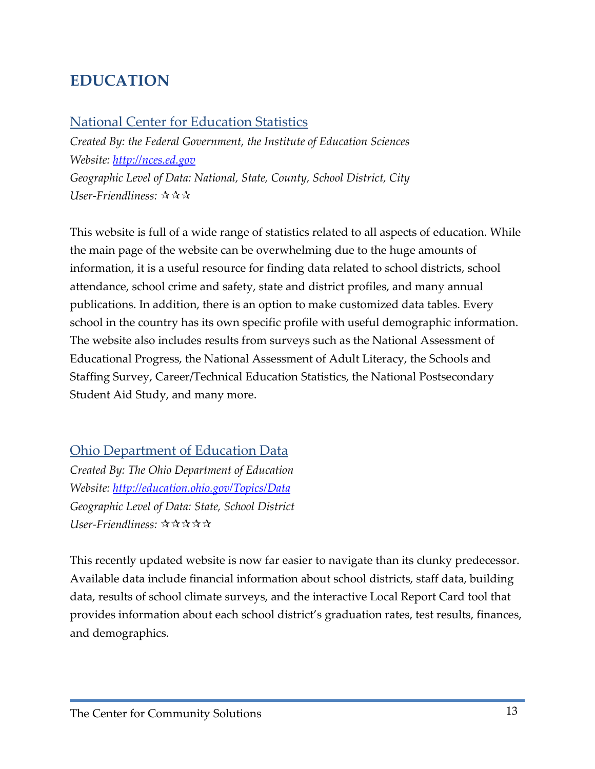### **EDUCATION**

### National Center for Education Statistics

*Created By: the Federal Government, the Institute of Education Sciences Website: [http://nces.ed.gov](http://nces.ed.gov/) Geographic Level of Data: National, State, County, School District, City User-Friendliness:* 

This website is full of a wide range of statistics related to all aspects of education. While the main page of the website can be overwhelming due to the huge amounts of information, it is a useful resource for finding data related to school districts, school attendance, school crime and safety, state and district profiles, and many annual publications. In addition, there is an option to make customized data tables. Every school in the country has its own specific profile with useful demographic information. The website also includes results from surveys such as the National Assessment of Educational Progress, the National Assessment of Adult Literacy, the Schools and Staffing Survey, Career/Technical Education Statistics, the National Postsecondary Student Aid Study, and many more.

### Ohio Department of Education Data

*Created By: The Ohio Department of Education Website:<http://education.ohio.gov/Topics/Data> Geographic Level of Data: State, School District User-Friendliness:*

This recently updated website is now far easier to navigate than its clunky predecessor. Available data include financial information about school districts, staff data, building data, results of school climate surveys, and the interactive Local Report Card tool that provides information about each school district's graduation rates, test results, finances, and demographics.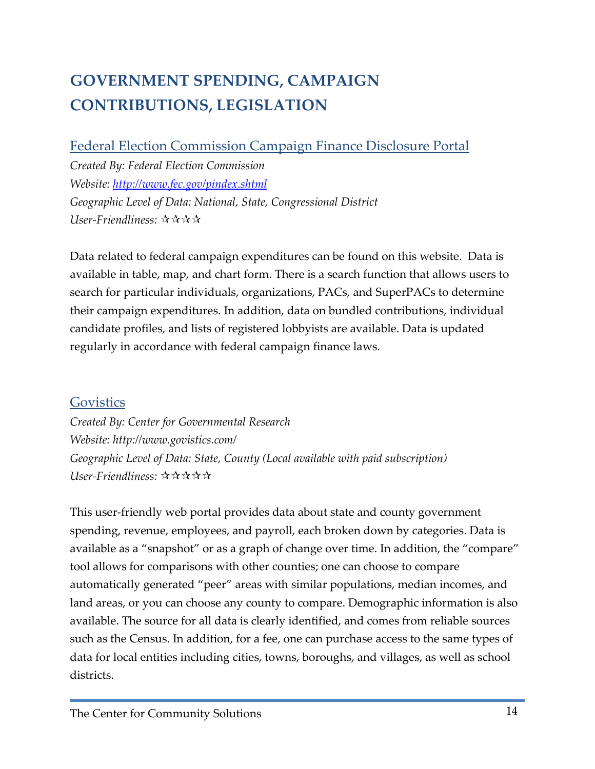# **GOVERNMENT SPENDING, CAMPAIGN CONTRIBUTIONS, LEGISLATION**

Federal Election Commission Campaign Finance Disclosure Portal

*Created By: Federal Election Commission Website:<http://www.fec.gov/pindex.shtml> Geographic Level of Data: National, State, Congressional District User-Friendliness:*

Data related to federal campaign expenditures can be found on this website. Data is available in table, map, and chart form. There is a search function that allows users to search for particular individuals, organizations, PACs, and SuperPACs to determine their campaign expenditures. In addition, data on bundled contributions, individual candidate profiles, and lists of registered lobbyists are available. Data is updated regularly in accordance with federal campaign finance laws.

### **Govistics**

*Created By: Center for Governmental Research Website: http://www.govistics.com/ Geographic Level of Data: State, County (Local available with paid subscription) User-Friendliness:* 

This user-friendly web portal provides data about state and county government spending, revenue, employees, and payroll, each broken down by categories. Data is available as a "snapshot" or as a graph of change over time. In addition, the "compare" tool allows for comparisons with other counties; one can choose to compare automatically generated "peer" areas with similar populations, median incomes, and land areas, or you can choose any county to compare. Demographic information is also available. The source for all data is clearly identified, and comes from reliable sources such as the Census. In addition, for a fee, one can purchase access to the same types of data for local entities including cities, towns, boroughs, and villages, as well as school districts.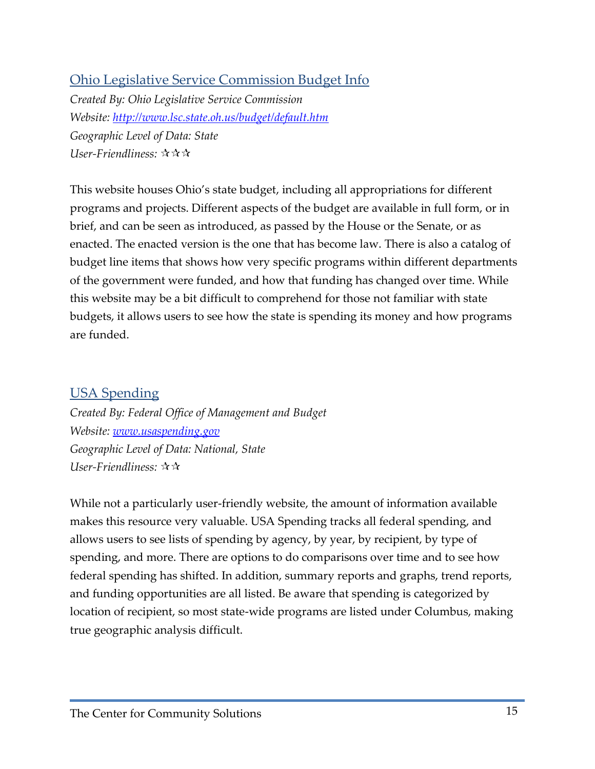### Ohio Legislative Service Commission Budget Info

*Created By: Ohio Legislative Service Commission Website:<http://www.lsc.state.oh.us/budget/default.htm> Geographic Level of Data: State User-Friendliness:* 

This website houses Ohio's state budget, including all appropriations for different programs and projects. Different aspects of the budget are available in full form, or in brief, and can be seen as introduced, as passed by the House or the Senate, or as enacted. The enacted version is the one that has become law. There is also a catalog of budget line items that shows how very specific programs within different departments of the government were funded, and how that funding has changed over time. While this website may be a bit difficult to comprehend for those not familiar with state budgets, it allows users to see how the state is spending its money and how programs are funded.

### USA Spending

*Created By: Federal Office of Management and Budget Website: [www.usaspending.gov](http://www.usaspending.gov/) Geographic Level of Data: National, State User-Friendliness:*

While not a particularly user-friendly website, the amount of information available makes this resource very valuable. USA Spending tracks all federal spending, and allows users to see lists of spending by agency, by year, by recipient, by type of spending, and more. There are options to do comparisons over time and to see how federal spending has shifted. In addition, summary reports and graphs, trend reports, and funding opportunities are all listed. Be aware that spending is categorized by location of recipient, so most state-wide programs are listed under Columbus, making true geographic analysis difficult.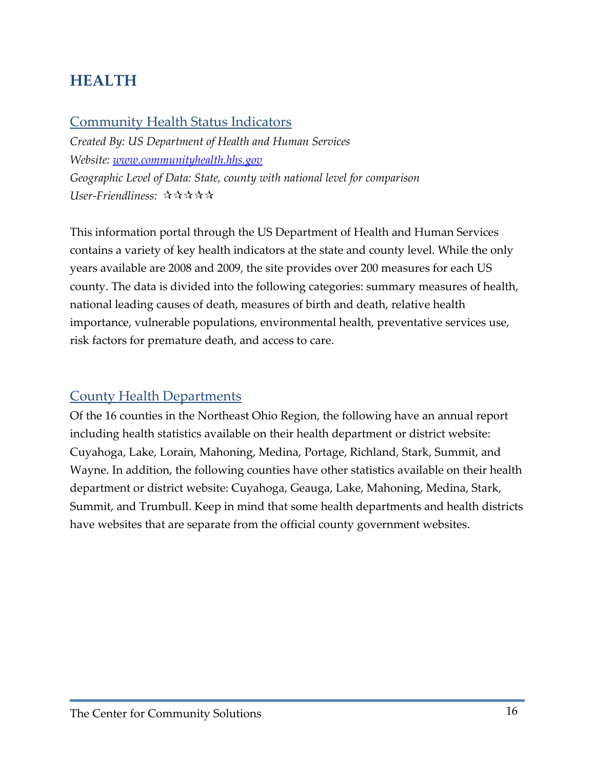### **HEALTH**

#### Community Health Status Indicators

*Created By: US Department of Health and Human Services Website: [www.communityhealth.hhs.gov](http://www.communityhealth.hhs.gov/) Geographic Level of Data: State, county with national level for comparison User-Friendliness:*

This information portal through the US Department of Health and Human Services contains a variety of key health indicators at the state and county level. While the only years available are 2008 and 2009, the site provides over 200 measures for each US county. The data is divided into the following categories: summary measures of health, national leading causes of death, measures of birth and death, relative health importance, vulnerable populations, environmental health, preventative services use, risk factors for premature death, and access to care.

### **County Health Departments**

Of the 16 counties in the Northeast Ohio Region, the following have an annual report including health statistics available on their health department or district website: Cuyahoga, Lake, Lorain, Mahoning, Medina, Portage, Richland, Stark, Summit, and Wayne. In addition, the following counties have other statistics available on their health department or district website: Cuyahoga, Geauga, Lake, Mahoning, Medina, Stark, Summit, and Trumbull. Keep in mind that some health departments and health districts have websites that are separate from the official county government websites.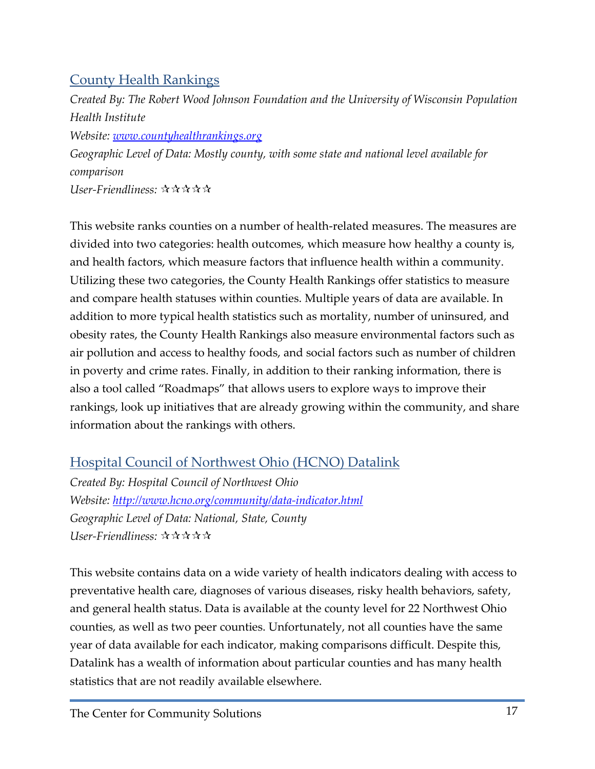### County Health Rankings

*Created By: The Robert Wood Johnson Foundation and the University of Wisconsin Population Health Institute Website: [www.countyhealthrankings.org](http://www.countyhealthrankings.org/) Geographic Level of Data: Mostly county, with some state and national level available for comparison User-Friendliness:* 

This website ranks counties on a number of health-related measures. The measures are divided into two categories: health outcomes, which measure how healthy a county is, and health factors, which measure factors that influence health within a community. Utilizing these two categories, the County Health Rankings offer statistics to measure and compare health statuses within counties. Multiple years of data are available. In addition to more typical health statistics such as mortality, number of uninsured, and obesity rates, the County Health Rankings also measure environmental factors such as air pollution and access to healthy foods, and social factors such as number of children in poverty and crime rates. Finally, in addition to their ranking information, there is also a tool called "Roadmaps" that allows users to explore ways to improve their rankings, look up initiatives that are already growing within the community, and share information about the rankings with others.

Hospital Council of Northwest Ohio (HCNO) Datalink

*Created By: Hospital Council of Northwest Ohio Website:<http://www.hcno.org/community/data-indicator.html> Geographic Level of Data: National, State, County User-Friendliness:*

This website contains data on a wide variety of health indicators dealing with access to preventative health care, diagnoses of various diseases, risky health behaviors, safety, and general health status. Data is available at the county level for 22 Northwest Ohio counties, as well as two peer counties. Unfortunately, not all counties have the same year of data available for each indicator, making comparisons difficult. Despite this, Datalink has a wealth of information about particular counties and has many health statistics that are not readily available elsewhere.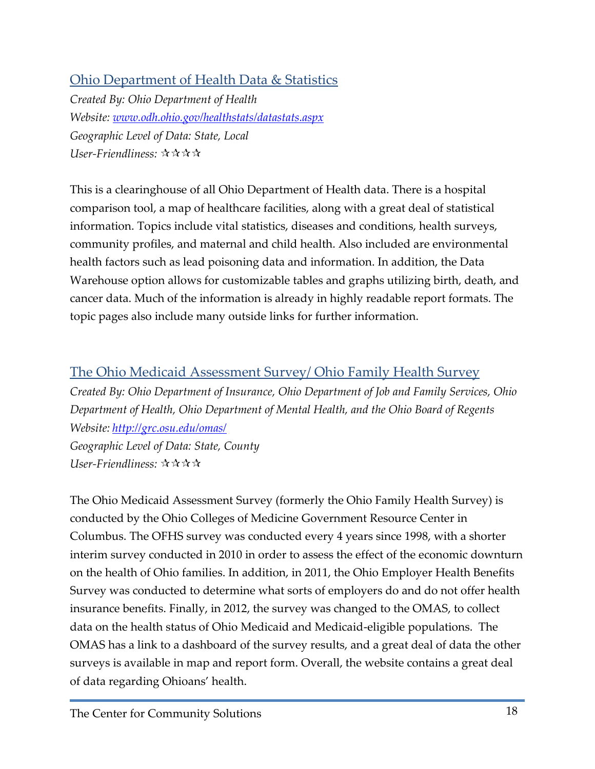### Ohio Department of Health Data & Statistics

*Created By: Ohio Department of Health Website: [www.odh.ohio.gov/healthstats/datastats.aspx](http://www.odh.ohio.gov/healthstats/datastats.aspx) Geographic Level of Data: State, Local User-Friendliness:* 

This is a clearinghouse of all Ohio Department of Health data. There is a hospital comparison tool, a map of healthcare facilities, along with a great deal of statistical information. Topics include vital statistics, diseases and conditions, health surveys, community profiles, and maternal and child health. Also included are environmental health factors such as lead poisoning data and information. In addition, the Data Warehouse option allows for customizable tables and graphs utilizing birth, death, and cancer data. Much of the information is already in highly readable report formats. The topic pages also include many outside links for further information.

### The Ohio Medicaid Assessment Survey/ Ohio Family Health Survey

*Created By: Ohio Department of Insurance, Ohio Department of Job and Family Services, Ohio Department of Health, Ohio Department of Mental Health, and the Ohio Board of Regents Website: <http://grc.osu.edu/omas/>*

*Geographic Level of Data: State, County User-Friendliness:* 

The Ohio Medicaid Assessment Survey (formerly the Ohio Family Health Survey) is conducted by the Ohio Colleges of Medicine Government Resource Center in Columbus. The OFHS survey was conducted every 4 years since 1998, with a shorter interim survey conducted in 2010 in order to assess the effect of the economic downturn on the health of Ohio families. In addition, in 2011, the Ohio Employer Health Benefits Survey was conducted to determine what sorts of employers do and do not offer health insurance benefits. Finally, in 2012, the survey was changed to the OMAS, to collect data on the health status of Ohio Medicaid and Medicaid-eligible populations. The OMAS has a link to a dashboard of the survey results, and a great deal of data the other surveys is available in map and report form. Overall, the website contains a great deal of data regarding Ohioans' health.